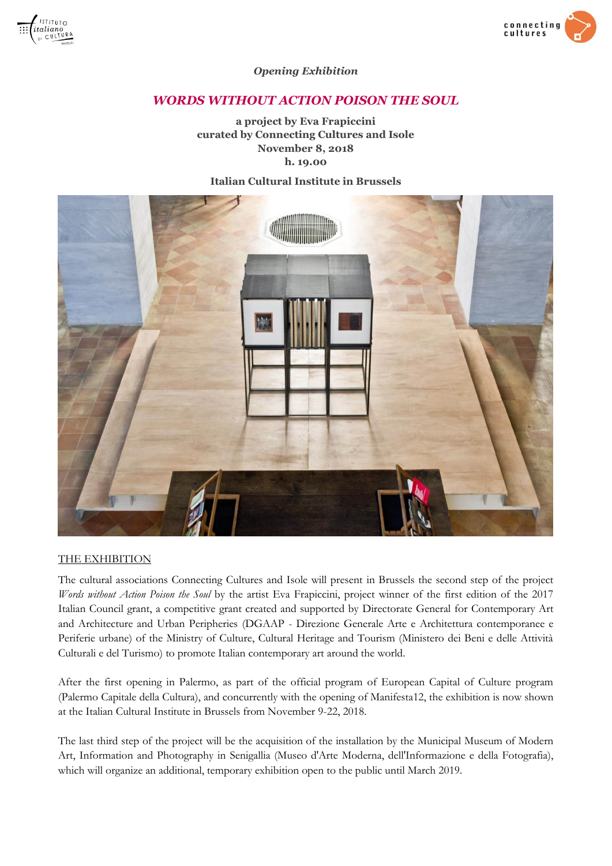



### *Opening Exhibition*

# *WORDS WITHOUT ACTION POISON THE SOUL*

**a project by Eva Frapiccini curated by Connecting Cultures and Isole November 8, 2018 h. 19.00**

### **Italian Cultural Institute in Brussels**



### THE EXHIBITION

The cultural associations Connecting Cultures and Isole will present in Brussels the second step of the project *Words without Action Poison the Soul* by the artist Eva Frapiccini, project winner of the first edition of the 2017 Italian Council grant, a competitive grant created and supported by Directorate General for Contemporary Art and Architecture and Urban Peripheries (DGAAP - Direzione Generale Arte e Architettura contemporanee e Periferie urbane) of the Ministry of Culture, Cultural Heritage and Tourism (Ministero dei Beni e delle Attività Culturali e del Turismo) to promote Italian contemporary art around the world.

After the first opening in Palermo, as part of the official program of European Capital of Culture program (Palermo Capitale della Cultura), and concurrently with the opening of Manifesta12, the exhibition is now shown at the Italian Cultural Institute in Brussels from November 9-22, 2018.

The last third step of the project will be the acquisition of the installation by the Municipal Museum of Modern Art, Information and Photography in Senigallia (Museo d'Arte Moderna, dell'Informazione e della Fotografia), which will organize an additional, temporary exhibition open to the public until March 2019.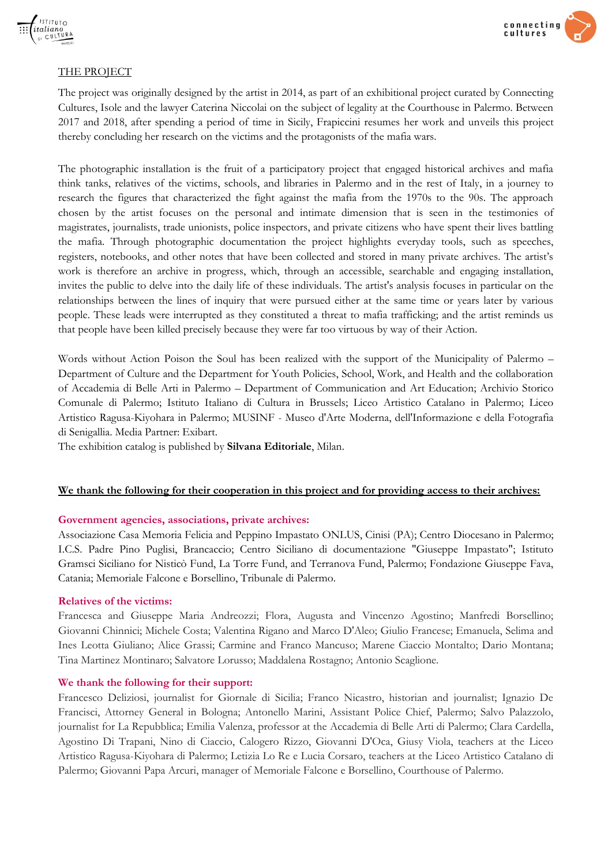



### THE PROJECT

The project was originally designed by the artist in 2014, as part of an exhibitional project curated by Connecting Cultures, Isole and the lawyer Caterina Niccolai on the subject of legality at the Courthouse in Palermo. Between 2017 and 2018, after spending a period of time in Sicily, Frapiccini resumes her work and unveils this project thereby concluding her research on the victims and the protagonists of the mafia wars.

The photographic installation is the fruit of a participatory project that engaged historical archives and mafia think tanks, relatives of the victims, schools, and libraries in Palermo and in the rest of Italy, in a journey to research the figures that characterized the fight against the mafia from the 1970s to the 90s. The approach chosen by the artist focuses on the personal and intimate dimension that is seen in the testimonies of magistrates, journalists, trade unionists, police inspectors, and private citizens who have spent their lives battling the mafia. Through photographic documentation the project highlights everyday tools, such as speeches, registers, notebooks, and other notes that have been collected and stored in many private archives. The artist's work is therefore an archive in progress, which, through an accessible, searchable and engaging installation, invites the public to delve into the daily life of these individuals. The artist's analysis focuses in particular on the relationships between the lines of inquiry that were pursued either at the same time or years later by various people. These leads were interrupted as they constituted a threat to mafia trafficking; and the artist reminds us that people have been killed precisely because they were far too virtuous by way of their Action.

Words without Action Poison the Soul has been realized with the support of the Municipality of Palermo – Department of Culture and the Department for Youth Policies, School, Work, and Health and the collaboration of Accademia di Belle Arti in Palermo – Department of Communication and Art Education; Archivio Storico Comunale di Palermo; Istituto Italiano di Cultura in Brussels; Liceo Artistico Catalano in Palermo; Liceo Artistico Ragusa-Kiyohara in Palermo; MUSINF - Museo d'Arte Moderna, dell'Informazione e della Fotografia di Senigallia. Media Partner: Exibart.

The exhibition catalog is published by **Silvana Editoriale**, Milan.

### **We thank the following for their cooperation in this project and for providing access to their archives:**

### **Government agencies, associations, private archives:**

Associazione Casa Memoria Felicia and Peppino Impastato ONLUS, Cinisi (PA); Centro Diocesano in Palermo; I.C.S. Padre Pino Puglisi, Brancaccio; Centro Siciliano di documentazione "Giuseppe Impastato"; Istituto Gramsci Siciliano for Nisticò Fund, La Torre Fund, and Terranova Fund, Palermo; Fondazione Giuseppe Fava, Catania; Memoriale Falcone e Borsellino, Tribunale di Palermo.

#### **Relatives of the victims:**

Francesca and Giuseppe Maria Andreozzi; Flora, Augusta and Vincenzo Agostino; Manfredi Borsellino; Giovanni Chinnici; Michele Costa; Valentina Rigano and Marco D'Aleo; Giulio Francese; Emanuela, Selima and Ines Leotta Giuliano; Alice Grassi; Carmine and Franco Mancuso; Marene Ciaccio Montalto; Dario Montana; Tina Martinez Montinaro; Salvatore Lorusso; Maddalena Rostagno; Antonio Scaglione.

### **We thank the following for their support:**

Francesco Deliziosi, journalist for Giornale di Sicilia; Franco Nicastro, historian and journalist; Ignazio De Francisci, Attorney General in Bologna; Antonello Marini, Assistant Police Chief, Palermo; Salvo Palazzolo, journalist for La Repubblica; Emilia Valenza, professor at the Accademia di Belle Arti di Palermo; Clara Cardella, Agostino Di Trapani, Nino di Ciaccio, Calogero Rizzo, Giovanni D'Oca, Giusy Viola, teachers at the Liceo Artistico Ragusa-Kiyohara di Palermo; Letizia Lo Re e Lucia Corsaro, teachers at the Liceo Artistico Catalano di Palermo; Giovanni Papa Arcuri, manager of Memoriale Falcone e Borsellino, Courthouse of Palermo.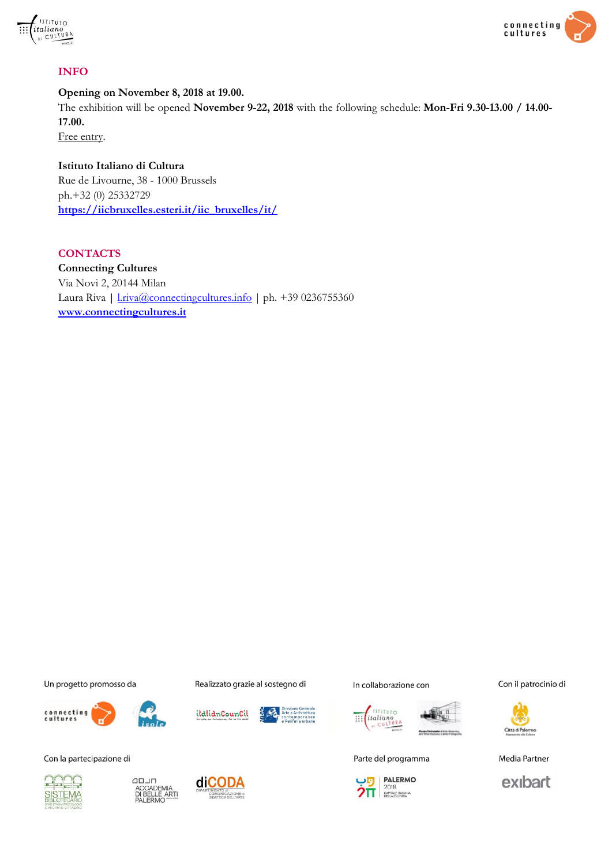



## **INFO**

**Opening on November 8, 2018 at 19.00.**

The exhibition will be opened **November 9-22, 2018** with the following schedule: **Mon-Fri 9.30-13.00 / 14.00- 17.00.**

Free entry.

**Istituto Italiano di Cultura** Rue de Livourne, 38 - 1000 Brussels ph.+32 (0) 25332729 **[https://iicbruxelles.esteri.it/iic\\_bruxelles/it/](https://iicbruxelles.esteri.it/iic_bruxelles/it/)**

**CONTACTS Connecting Cultures** Via Novi 2, 20144 Milan Laura Riva | *Lriva@connectingcultures.info* | ph. +39 0236755360 **[www.connectingcultures.it](http://www.connectingcultures.it/)**

Un progetto promosso da



Con la partecipazione di







Realizzato grazie al sostegno di







In collaborazione con



Parte del programma



Con il patrocinio di



Media Partner